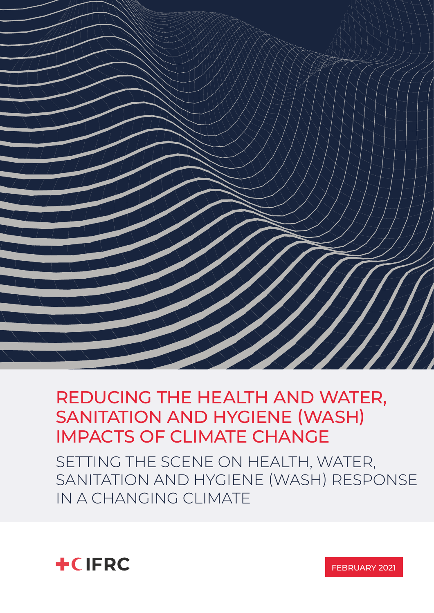

### REDUCING THE HEALTH AND WATER, SANITATION AND HYGIENE (WASH) IMPACTS OF CLIMATE CHANGE

SETTING THE SCENE ON HEALTH, WATER, SANITATION AND HYGIENE (WASH) RESPONSE IN A CHANGING CLIMATE



FEBRUARY 2021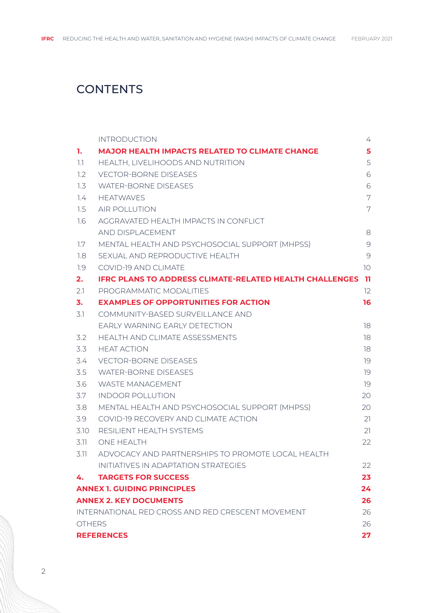### **CONTENTS**

|                                    | <b>INTRODUCTION</b>                                            | 4                 |
|------------------------------------|----------------------------------------------------------------|-------------------|
| 1.                                 | <b>MAJOR HEALTH IMPACTS RELATED TO CLIMATE CHANGE</b>          | 5                 |
| 1.1                                | HEALTH, LIVELIHOODS AND NUTRITION                              | 5                 |
| 1.2                                | <b>VECTOR-BORNE DISEASES</b>                                   | 6                 |
| 1.3                                | <b>WATER-BORNE DISEASES</b>                                    | 6                 |
| 1.4                                | <b>HEATWAVES</b>                                               | 7                 |
| 1.5                                | <b>AIR POLLUTION</b>                                           | 7                 |
| 1.6                                | AGGRAVATED HEALTH IMPACTS IN CONFLICT                          |                   |
|                                    | AND DISPLACEMENT                                               | 8                 |
| 1.7                                | MENTAL HEALTH AND PSYCHOSOCIAL SUPPORT (MHPSS)                 | 9                 |
| 1.8                                | SEXUAL AND REPRODUCTIVE HEALTH                                 | 9                 |
| 1.9                                | COVID-19 AND CLIMATE                                           | 10                |
| 2.                                 | <b>IFRC PLANS TO ADDRESS CLIMATE-RELATED HEALTH CHALLENGES</b> | -11               |
| 2.1                                | PROGRAMMATIC MODALITIES                                        | $12 \overline{ }$ |
| 3.                                 | <b>EXAMPLES OF OPPORTUNITIES FOR ACTION</b>                    | 16                |
| 3.1                                | COMMUNITY-BASED SURVEILLANCE AND                               |                   |
|                                    | EARLY WARNING EARLY DETECTION                                  | 18                |
| 3.2                                | HEALTH AND CLIMATE ASSESSMENTS                                 | 18                |
| 3.3                                | <b>HEAT ACTION</b>                                             | 18                |
| 3.4                                | <b>VECTOR-BORNE DISEASES</b>                                   | 19                |
| 3.5                                | <b>WATER-BORNE DISEASES</b>                                    | 19                |
| 3.6                                | <b>WASTE MANAGEMENT</b>                                        | 19                |
| 3.7                                | <b>INDOOR POLLUTION</b>                                        | 20                |
| 3.8                                | MENTAL HEALTH AND PSYCHOSOCIAL SUPPORT (MHPSS)                 | 20                |
| 3.9                                | COVID-19 RECOVERY AND CLIMATE ACTION                           | 21                |
| 3.10                               | RESILIENT HEALTH SYSTEMS                                       | 21                |
| 3.11                               | <b>ONE HEALTH</b>                                              | 22                |
| 3.11                               | ADVOCACY AND PARTNERSHIPS TO PROMOTE LOCAL HEALTH              |                   |
|                                    | INITIATIVES IN ADAPTATION STRATEGIES                           | 22                |
| 4.                                 | <b>TARGETS FOR SUCCESS</b>                                     | 23                |
| <b>ANNEX 1. GUIDING PRINCIPLES</b> |                                                                | 24                |
| <b>ANNEX 2. KEY DOCUMENTS</b>      |                                                                | 26                |
|                                    | <b>INTERNATIONAL RED CROSS AND RED CRESCENT MOVEMENT</b>       |                   |
| <b>OTHERS</b>                      |                                                                | 26                |
| <b>REFERENCES</b>                  |                                                                | 27                |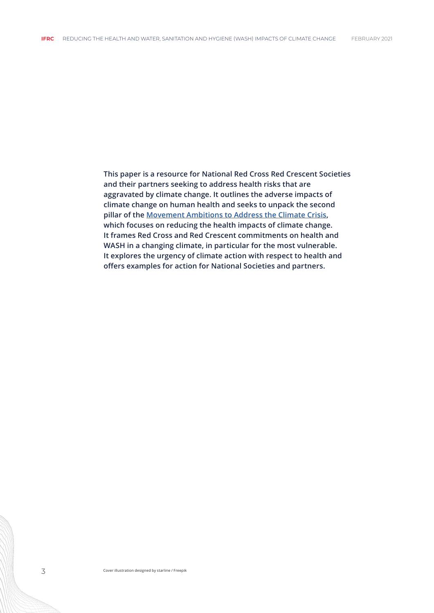**This paper is a resource for National Red Cross Red Crescent Societies and their partners seeking to address health risks that are aggravated by climate change. It outlines the adverse impacts of climate change on human health and seeks to unpack the second pillar of the [Movement Ambitions to Address the Climate Crisis,](https://media.ifrc.org/ifrc/wp-content/uploads/sites/5/2020/02/Movement-Climate-Ambitions-2020-final.pdf) which focuses on reducing the health impacts of climate change. It frames Red Cross and Red Crescent commitments on health and WASH in a changing climate, in particular for the most vulnerable. It explores the urgency of climate action with respect to health and offers examples for action for National Societies and partners.**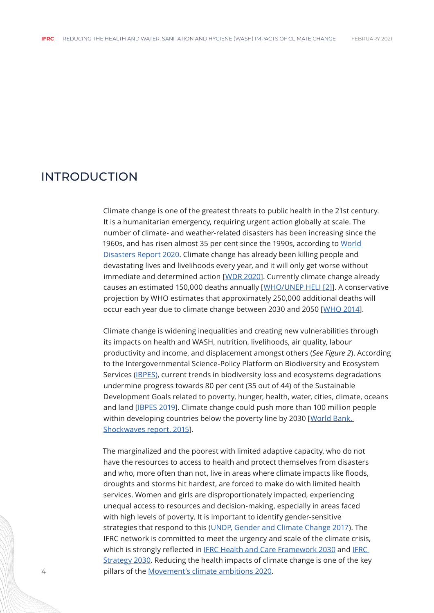#### <span id="page-3-0"></span>INTRODUCTION

Climate change is one of the greatest threats to public health in the 21st century. It is a humanitarian emergency, requiring urgent action globally at scale. The number of climate- and weather-related disasters has been increasing since the 1960s, and has risen almost 35 per cent since the 1990s, according to [World](https://media.ifrc.org/ifrc/world-disaster-report-2020/)  [Disasters Report 2020](https://media.ifrc.org/ifrc/world-disaster-report-2020/). Climate change has already been killing people and devastating lives and livelihoods every year, and it will only get worse without immediate and determined action [[WDR 2020\]](https://media.ifrc.org/ifrc/world-disaster-report-2020/). Currently climate change already causes an estimated 150,000 deaths annually [[WHO/UNEP HELI \[2\]\]](https://media.ifrc.org/ifrc/wp-content/uploads/sites/5/2020/02/Movement-Climate-Ambitions-2020-final.pdf). A conservative projection by WHO estimates that approximately 250,000 additional deaths will occur each year due to climate change between 2030 and 2050 [[WHO 2014](https://apps.who.int/iris/bitstream/handle/10665/134014/9789241507691_eng.pdf?sequence=1&isAllowed=y)].

Climate change is widening inequalities and creating new vulnerabilities through its impacts on health and WASH, nutrition, livelihoods, air quality, labour productivity and income, and displacement amongst others (*See Figure 2*). According to the Intergovernmental Science-Policy Platform on Biodiversity and Ecosystem Services [\(IBPES\)](https://zenodo.org/record/3553579#.YGwduxMzbUJ), current trends in biodiversity loss and ecosystems degradations undermine progress towards 80 per cent (35 out of 44) of the Sustainable Development Goals related to poverty, hunger, health, water, cities, climate, oceans and land [[IBPES 2019](https://zenodo.org/record/3553579#.YGwfoRMzbUJ)]. Climate change could push more than 100 million people within developing countries below the poverty line by 2030 [World Bank, [Shockwaves report, 2015\]](https://www.worldbank.org/en/topic/climatechange/brief/shock-waves-managing-the-impacts-of-climate-change-on-poverty-background-papers).

The marginalized and the poorest with limited adaptive capacity, who do not have the resources to access to health and protect themselves from disasters and who, more often than not, live in areas where climate impacts like floods, droughts and storms hit hardest, are forced to make do with limited health services. Women and girls are disproportionately impacted, experiencing unequal access to resources and decision-making, especially in areas faced with high levels of poverty. It is important to identify gender-sensitive strategies that respond to this [\(UNDP, Gender and Climate Change 2017\)](https://media.ifrc.org/ifrc/wp-content/uploads/sites/5/2020/02/Movement-Climate-Ambitions-2020-final.pdf). The IFRC network is committed to meet the urgency and scale of the climate crisis, which is strongly reflected in [IFRC Health and Care Framework 2030](https://media.ifrc.org/ifrc/wp-content/uploads/sites/5/2020/02/Movement-Climate-Ambitions-2020-final.pdf) and IFRC [Strategy 2030.](https://future-rcrc.com/strategy-2030/) Reducing the health impacts of climate change is one of the key pillars of the [Movement's climate ambitions 2020.](https://media.ifrc.org/ifrc/wp-content/uploads/sites/5/2020/02/Movement-Climate-Ambitions-2020-final.pdf)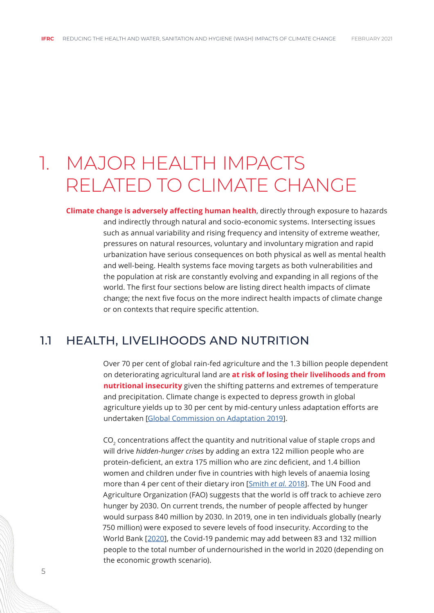### <span id="page-4-0"></span>1. MAJOR HEALTH IMPACTS RELATED TO CLIMATE CHANGE

**Climate change is adversely affecting human health**, directly through exposure to hazards and indirectly through natural and socio-economic systems. Intersecting issues such as annual variability and rising frequency and intensity of extreme weather, pressures on natural resources, voluntary and involuntary migration and rapid urbanization have serious consequences on both physical as well as mental health and well-being. Health systems face moving targets as both vulnerabilities and the population at risk are constantly evolving and expanding in all regions of the world. The first four sections below are listing direct health impacts of climate change; the next five focus on the more indirect health impacts of climate change or on contexts that require specific attention.

#### 1.1 HEALTH, LIVELIHOODS AND NUTRITION

Over 70 per cent of global rain-fed agriculture and the 1.3 billion people dependent on deteriorating agricultural land are **at risk of losing their livelihoods and from nutritional insecurity** given the shifting patterns and extremes of temperature and precipitation. Climate change is expected to depress growth in global agriculture yields up to 30 per cent by mid-century unless adaptation efforts are undertaken [\[Global Commission on Adaptation 2019](https://gca.org/reports/)].

CO<sub>2</sub> concentrations affect the quantity and nutritional value of staple crops and will drive *hidden-hunger crises* by adding an extra 122 million people who are protein-deficient, an extra 175 million who are zinc deficient, and 1.4 billion women and children under five in countries with high levels of anaemia losing more than 4 per cent of their dietary iron [\[Smith](https://www.actu-environnement.com/media/pdf/news-31889-nutriment-aliments.pdf) *et al.* 2018]. The UN Food and Agriculture Organization (FAO) suggests that the world is off track to achieve zero hunger by 2030. On current trends, the number of people affected by hunger would surpass 840 million by 2030. In 2019, one in ten individuals globally (nearly 750 million) were exposed to severe levels of food insecurity. According to the World Bank [\[2020](https://blogs.worldbank.org/voices/2020-year-review-impact-covid-19-12-charts)], the Covid-19 pandemic may add between 83 and 132 million people to the total number of undernourished in the world in 2020 (depending on the economic growth scenario).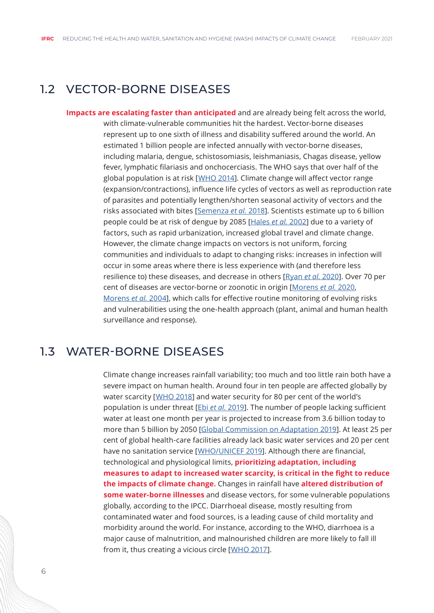#### <span id="page-5-0"></span>1.2 VECTOR-BORNE DISEASES

**Impacts are escalating faster than anticipated** and are already being felt across the world, with climate-vulnerable communities hit the hardest. Vector-borne diseases represent up to one sixth of illness and disability suffered around the world. An estimated 1 billion people are infected annually with vector-borne diseases, including malaria, dengue, schistosomiasis, leishmaniasis, Chagas disease, yellow fever, lymphatic filariasis and onchocerciasis. The WHO says that over half of the global population is at risk [[WHO 2014\]](https://apps.who.int/iris/bitstream/handle/10665/111008/WHO_DCO_WHD_2014.1_eng.pdf). Climate change will affect vector range (expansion/contractions), influence life cycles of vectors as well as reproduction rate of parasites and potentially lengthen/shorten seasonal activity of vectors and the risks associated with bites [[Semenza](https://www.ncbi.nlm.nih.gov/pmc/articles/PMC5812531/) *et al.* 2018]. Scientists estimate up to 6 billion people could be at risk of dengue by 2085 [[Hales](https://pubmed.ncbi.nlm.nih.gov/12243917/) *et al.* 2002] due to a variety of factors, such as rapid urbanization, increased global travel and climate change. However, the climate change impacts on vectors is not uniform, forcing communities and individuals to adapt to changing risks: increases in infection will occur in some areas where there is less experience with (and therefore less resilience to) these diseases, and decrease in others [[Ryan](https://malariajournal.biomedcentral.com/articles/10.1186/s12936-020-03224-6) *et al.* 2020]. Over 70 per cent of diseases are vector-borne or zoonotic in origin [[Morens](https://www.ncbi.nlm.nih.gov/pmc/articles/PMC7428724/) *et al.* 2020, [Morens](https://pubmed.ncbi.nlm.nih.gov/15241422/) *et al.* 2004], which calls for effective routine monitoring of evolving risks and vulnerabilities using the one-health approach (plant, animal and human health surveillance and response).

#### 1.3 WATER-BORNE DISEASES

Climate change increases rainfall variability; too much and too little rain both have a severe impact on human health. Around four in ten people are affected globally by water scarcity [[WHO 2018\]](https://www.who.int/news-room/facts-in-pictures/detail/health-and-climate-change) and water security for 80 per cent of the world's population is under threat [Ebi *[et al.](https://www.who.int/globalchange/181008_the_1_5_healthreport.pdf)* 2019]. The number of people lacking sufficient water at least one month per year is projected to increase from 3.6 billion today to more than 5 billion by 2050 [\[Global Commission on Adaptation 2019\]](https://gca.org/reports/). At least 25 per cent of global health-care facilities already lack basic water services and 20 per cent have no sanitation service [[WHO/UNICEF 2019](https://apps.who.int/iris/bitstream/handle/10665/311620/9789241515504-eng.pdf)]. Although there are financial, technological and physiological limits, **prioritizing adaptation, including measures to adapt to increased water scarcity, is critical in the fight to reduce the impacts of climate change.** Changes in rainfall have **altered distribution of some water-borne illnesses** and disease vectors, for some vulnerable populations globally, according to the IPCC. Diarrhoeal disease, mostly resulting from contaminated water and food sources, is a leading cause of child mortality and morbidity around the world. For instance, according to the WHO, diarrhoea is a major cause of malnutrition, and malnourished children are more likely to fall ill from it, thus creating a vicious circle [[WHO 2017\]](https://www.who.int/news-room/fact-sheets/detail/diarrhoeal-disease).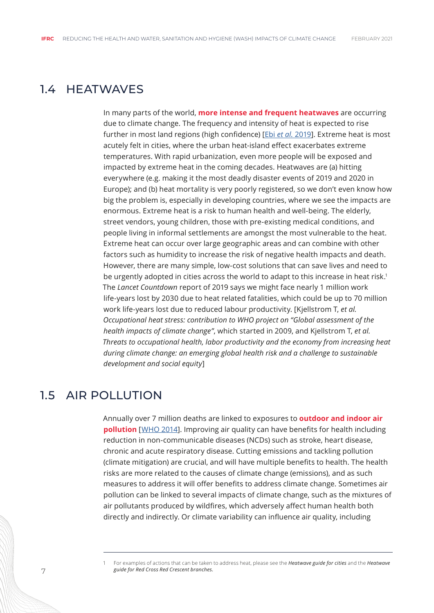#### <span id="page-6-0"></span>1.4 HEATWAVES

In many parts of the world, **more intense and frequent heatwaves** are occurring due to climate change. The frequency and intensity of heat is expected to rise further in most land regions (high confidence) [Ebi *et al.* [2019\]](https://www.who.int/globalchange/181008_the_1_5_healthreport.pdf). Extreme heat is most acutely felt in cities, where the urban heat-island effect exacerbates extreme temperatures. With rapid urbanization, even more people will be exposed and impacted by extreme heat in the coming decades. Heatwaves are (a) hitting everywhere (e.g. making it the most deadly disaster events of 2019 and 2020 in Europe); and (b) heat mortality is very poorly registered, so we don't even know how big the problem is, especially in developing countries, where we see the impacts are enormous. Extreme heat is a risk to human health and well-being. The elderly, street vendors, young children, those with pre-existing medical conditions, and people living in informal settlements are amongst the most vulnerable to the heat. Extreme heat can occur over large geographic areas and can combine with other factors such as humidity to increase the risk of negative health impacts and death. However, there are many simple, low-cost solutions that can save lives and need to be urgently adopted in cities across the world to adapt to this increase in heat risk.<sup>1</sup> The *Lancet Countdown* report of 2019 says we might face nearly 1 million work life-years lost by 2030 due to heat related fatalities, which could be up to 70 million work life-years lost due to reduced labour productivity. [Kjellstrom T, *et al. Occupational heat stress: contribution to WHO project on "Global assessment of the health impacts of climate change"*, which started in 2009, and Kjellstrom T, *et al. Threats to occupational health, labor productivity and the economy from increasing heat during climate change: an emerging global health risk and a challenge to sustainable development and social equity*]

#### 1.5 AIR POLLUTION

Annually over 7 million deaths are linked to exposures to **outdoor and indoor air pollution** [[WHO 2014](https://www.who.int/mediacentre/news/releases/2014/air-pollution/en/)]. Improving air quality can have benefits for health including reduction in non-communicable diseases (NCDs) such as stroke, heart disease, chronic and acute respiratory disease. Cutting emissions and tackling pollution (climate mitigation) are crucial, and will have multiple benefits to health. The health risks are more related to the causes of climate change (emissions), and as such measures to address it will offer benefits to address climate change. Sometimes air pollution can be linked to several impacts of climate change, such as the mixtures of air pollutants produced by wildfires, which adversely affect human health both directly and indirectly. Or climate variability can influence air quality, including

<sup>1</sup> For examples of actions that can be taken to address heat, please see the *Heatwave guide for cities* and the *Heatwave guide for Red Cross Red Crescent branches.*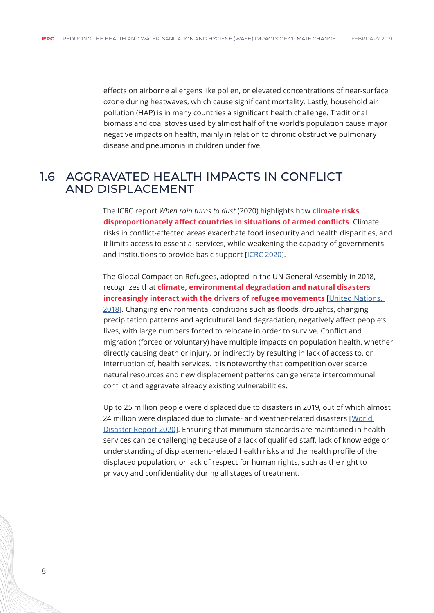<span id="page-7-0"></span>effects on airborne allergens like pollen, or elevated concentrations of near-surface ozone during heatwaves, which cause significant mortality. Lastly, household air pollution (HAP) is in many countries a significant health challenge. Traditional biomass and coal stoves used by almost half of the world's population cause major negative impacts on health, mainly in relation to chronic obstructive pulmonary disease and pneumonia in children under five.

#### 1.6 AGGRAVATED HEALTH IMPACTS IN CONFLICT AND DISPLACEMENT

The ICRC report *When rain turns to dust* (2020) highlights how **climate risks disproportionately affect countries in situations of armed conflicts**. Climate risks in conflict-affected areas exacerbate food insecurity and health disparities, and it limits access to essential services, while weakening the capacity of governments and institutions to provide basic support [\[ICRC 2020](https://www.icrc.org/sites/default/files/topic/file_plus_list/rain_turns_to_dust_climate_change_conflict.pdf)].

The Global Compact on Refugees, adopted in the UN General Assembly in 2018, recognizes that **climate, environmental degradation and natural disasters increasingly interact with the drivers of refugee movements** [\[United Nations,](https://media.ifrc.org/ifrc/wp-content/uploads/sites/5/2020/02/Movement-Climate-Ambitions-2020-final.pdf)  [2018](https://media.ifrc.org/ifrc/wp-content/uploads/sites/5/2020/02/Movement-Climate-Ambitions-2020-final.pdf)]. Changing environmental conditions such as floods, droughts, changing precipitation patterns and agricultural land degradation, negatively affect people's lives, with large numbers forced to relocate in order to survive. Conflict and migration (forced or voluntary) have multiple impacts on population health, whether directly causing death or injury, or indirectly by resulting in lack of access to, or interruption of, health services. It is noteworthy that competition over scarce natural resources and new displacement patterns can generate intercommunal conflict and aggravate already existing vulnerabilities.

Up to 25 million people were displaced due to disasters in 2019, out of which almost 24 million were displaced due to climate- and weather-related disasters [[World](https://media.ifrc.org/ifrc/world-disaster-report-2020/)  [Disaster Report 2020](https://media.ifrc.org/ifrc/world-disaster-report-2020/)]. Ensuring that minimum standards are maintained in health services can be challenging because of a lack of qualified staff, lack of knowledge or understanding of displacement-related health risks and the health profile of the displaced population, or lack of respect for human rights, such as the right to privacy and confidentiality during all stages of treatment.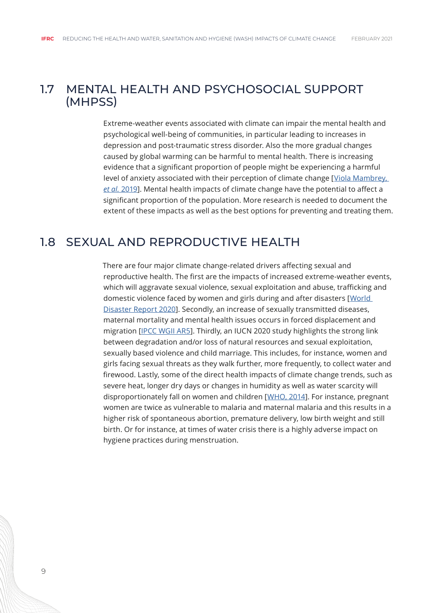#### <span id="page-8-0"></span>1.7 MENTAL HEALTH AND PSYCHOSOCIAL SUPPORT (MHPSS)

Extreme-weather events associated with climate can impair the mental health and psychological well-being of communities, in particular leading to increases in depression and post-traumatic stress disorder. Also the more gradual changes caused by global warming can be harmful to mental health. There is increasing evidence that a significant proportion of people might be experiencing a harmful level of anxiety associated with their perception of climate change [[Viola Mambrey,](https://pubmed.ncbi.nlm.nih.gov/30976819/)  *et al.* [2019](https://pubmed.ncbi.nlm.nih.gov/30976819/)]. Mental health impacts of climate change have the potential to affect a significant proportion of the population. More research is needed to document the extent of these impacts as well as the best options for preventing and treating them.

#### 1.8 SEXUAL AND REPRODUCTIVE HEALTH

There are four major climate change-related drivers affecting sexual and reproductive health. The first are the impacts of increased extreme-weather events, which will aggravate sexual violence, sexual exploitation and abuse, trafficking and domestic violence faced by women and girls during and after disasters [[World](https://redcross.eu/uploads/files/Latest%20News/World%20Disasters%20Report%202020/World%20Disasters%20Report%202020.pdf)  [Disaster Report 2020](https://redcross.eu/uploads/files/Latest%20News/World%20Disasters%20Report%202020/World%20Disasters%20Report%202020.pdf)]. Secondly, an increase of sexually transmitted diseases, maternal mortality and mental health issues occurs in forced displacement and migration [[IPCC WGII AR5](https://www.ipcc.ch/site/assets/uploads/2018/02/WGIIAR5-Chap11_FINAL.pdf)]. Thirdly, an IUCN 2020 study highlights the strong link between degradation and/or loss of natural resources and sexual exploitation, sexually based violence and child marriage. This includes, for instance, women and girls facing sexual threats as they walk further, more frequently, to collect water and firewood. Lastly, some of the direct health impacts of climate change trends, such as severe heat, longer dry days or changes in humidity as well as water scarcity will disproportionately fall on women and children [[WHO, 2014\]](https://apps.who.int/iris/bitstream/handle/10665/144781/9789241508186_eng.pdf?sequence=1). For instance, pregnant women are twice as vulnerable to malaria and maternal malaria and this results in a higher risk of spontaneous abortion, premature delivery, low birth weight and still birth. Or for instance, at times of water crisis there is a highly adverse impact on hygiene practices during menstruation.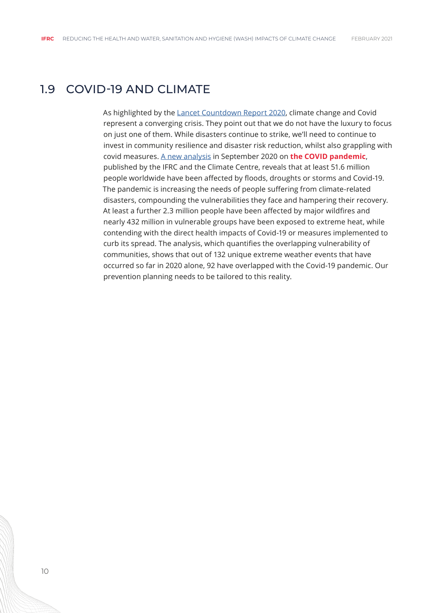#### <span id="page-9-0"></span>1.9 COVID-19 AND CLIMATE

As highlighted by the [Lancet Countdown Report 2020,](https://www.lancetcountdown.org/2020-report/) climate change and Covid represent a converging crisis. They point out that we do not have the luxury to focus on just one of them. While disasters continue to strike, we'll need to continue to invest in community resilience and disaster risk reduction, whilst also grappling with covid measures. [A new analysis](https://media.ifrc.org/ifrc/wp-content/uploads/sites/5/2020/09/Extreme-weather-events-and-COVID-19-V4.pdf) in September 2020 on **the COVID pandemic**, published by the IFRC and the Climate Centre, reveals that at least 51.6 million people worldwide have been affected by floods, droughts or storms and Covid-19. The pandemic is increasing the needs of people suffering from climate-related disasters, compounding the vulnerabilities they face and hampering their recovery. At least a further 2.3 million people have been affected by major wildfires and nearly 432 million in vulnerable groups have been exposed to extreme heat, while contending with the direct health impacts of Covid-19 or measures implemented to curb its spread. The analysis, which quantifies the overlapping vulnerability of communities, shows that out of 132 unique extreme weather events that have occurred so far in 2020 alone, 92 have overlapped with the Covid-19 pandemic. Our prevention planning needs to be tailored to this reality.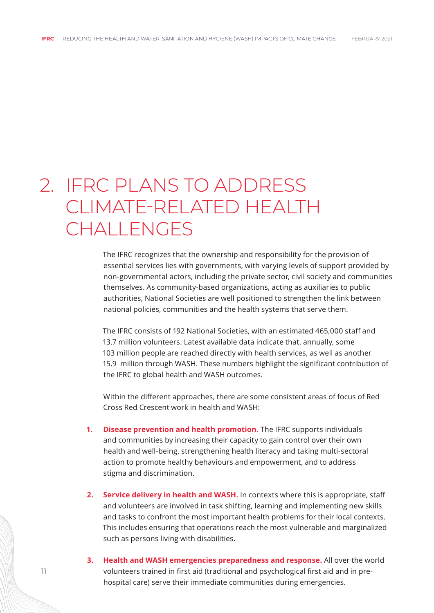## <span id="page-10-0"></span>2. IFRC PLANS TO ADDRESS CLIMATE-RELATED HEALTH CHALL FNGES

The IFRC recognizes that the ownership and responsibility for the provision of essential services lies with governments, with varying levels of support provided by non-governmental actors, including the private sector, civil society and communities themselves. As community-based organizations, acting as auxiliaries to public authorities, National Societies are well positioned to strengthen the link between national policies, communities and the health systems that serve them.

The IFRC consists of 192 National Societies, with an estimated 465,000 staff and 13.7 million volunteers. Latest available data indicate that, annually, some 103 million people are reached directly with health services, as well as another 15.9 million through WASH. These numbers highlight the significant contribution of the IFRC to global health and WASH outcomes.

Within the different approaches, there are some consistent areas of focus of Red Cross Red Crescent work in health and WASH:

- **1. Disease prevention and health promotion.** The IFRC supports individuals and communities by increasing their capacity to gain control over their own health and well-being, strengthening health literacy and taking multi-sectoral action to promote healthy behaviours and empowerment, and to address stigma and discrimination.
- **2. Service delivery in health and WASH.** In contexts where this is appropriate, staff and volunteers are involved in task shifting, learning and implementing new skills and tasks to confront the most important health problems for their local contexts. This includes ensuring that operations reach the most vulnerable and marginalized such as persons living with disabilities.
- **3. Health and WASH emergencies preparedness and response.** All over the world volunteers trained in first aid (traditional and psychological first aid and in prehospital care) serve their immediate communities during emergencies.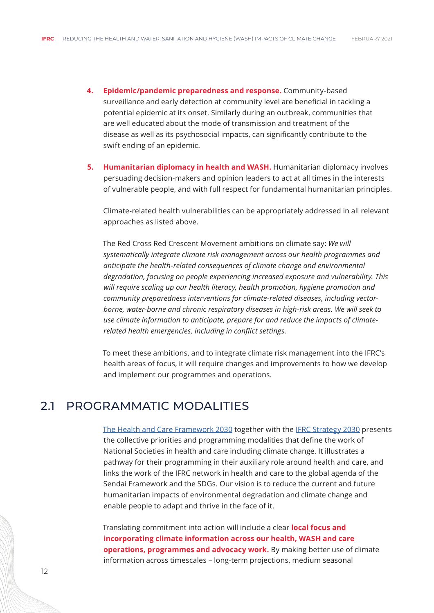- <span id="page-11-0"></span>**4. Epidemic/pandemic preparedness and response.** Community-based surveillance and early detection at community level are beneficial in tackling a potential epidemic at its onset. Similarly during an outbreak, communities that are well educated about the mode of transmission and treatment of the disease as well as its psychosocial impacts, can significantly contribute to the swift ending of an epidemic.
- **5. Humanitarian diplomacy in health and WASH.** Humanitarian diplomacy involves persuading decision-makers and opinion leaders to act at all times in the interests of vulnerable people, and with full respect for fundamental humanitarian principles.

Climate-related health vulnerabilities can be appropriately addressed in all relevant approaches as listed above.

The Red Cross Red Crescent Movement ambitions on climate say: *We will systematically integrate climate risk management across our health programmes and anticipate the health-related consequences of climate change and environmental degradation, focusing on people experiencing increased exposure and vulnerability. This will require scaling up our health literacy, health promotion, hygiene promotion and community preparedness interventions for climate-related diseases, including vectorborne, water-borne and chronic respiratory diseases in high-risk areas. We will seek to use climate information to anticipate, prepare for and reduce the impacts of climaterelated health emergencies, including in conflict settings.*

To meet these ambitions, and to integrate climate risk management into the IFRC's health areas of focus, it will require changes and improvements to how we develop and implement our programmes and operations.

#### 2.1 PROGRAMMATIC MODALITIES

[The Health and Care Framework 2030](https://media.ifrc.org/ifrc/wp-content/uploads/sites/5/2020/11/IFRC_Brochure_HealthCareFramework_EN_Web.pdf) together with the [IFRC Strategy 2030](https://future-rcrc.com/strategy-2030/) presents the collective priorities and programming modalities that define the work of National Societies in health and care including climate change. It illustrates a pathway for their programming in their auxiliary role around health and care, and links the work of the IFRC network in health and care to the global agenda of the Sendai Framework and the SDGs. Our vision is to reduce the current and future humanitarian impacts of environmental degradation and climate change and enable people to adapt and thrive in the face of it.

Translating commitment into action will include a clear **local focus and incorporating climate information across our health, WASH and care operations, programmes and advocacy work.** By making better use of climate information across timescales – long-term projections, medium seasonal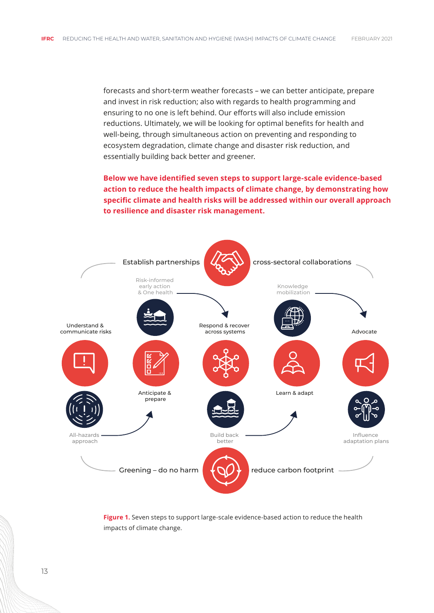forecasts and short-term weather forecasts – we can better anticipate, prepare and invest in risk reduction; also with regards to health programming and ensuring to no one is left behind. Our efforts will also include emission reductions. Ultimately, we will be looking for optimal benefits for health and well-being, through simultaneous action on preventing and responding to ecosystem degradation, climate change and disaster risk reduction, and essentially building back better and greener.

**Below we have identified seven steps to support large-scale evidence-based action to reduce the health impacts of climate change, by demonstrating how specific climate and health risks will be addressed within our overall approach to resilience and disaster risk management.** 



**Figure 1.** Seven steps to support large-scale evidence-based action to reduce the health impacts of climate change.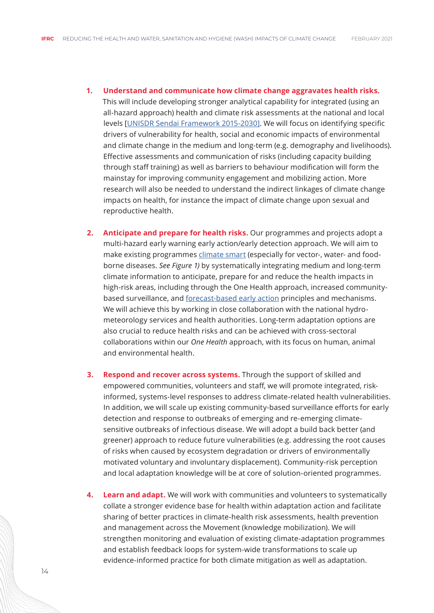- **1. Understand and communicate how climate change aggravates health risks.**  This will include developing stronger analytical capability for integrated (using an all-hazard approach) health and climate risk assessments at the national and local levels [\[UNISDR Sendai Framework 2015-2030\]](https://www.preventionweb.net/files/43291_sendaiframeworkfordrren.pdf). We will focus on identifying specific drivers of vulnerability for health, social and economic impacts of environmental and climate change in the medium and long-term (e.g. demography and livelihoods). Effective assessments and communication of risks (including capacity building through staff training) as well as barriers to behaviour modification will form the mainstay for improving community engagement and mobilizing action. More research will also be needed to understand the indirect linkages of climate change impacts on health, for instance the impact of climate change upon sexual and reproductive health.
- **2. Anticipate and prepare for health risks.** Our programmes and projects adopt a multi-hazard early warning early action/early detection approach. We will aim to make existing programmes [climate smart](https://www.climatecentre.org/downloads/files/What%20is%20climate-smart%20programming%20-%20MAR2020.pdf) (especially for vector-, water- and foodborne diseases. *See Figure 1)* by systematically integrating medium and long-term climate information to anticipate, prepare for and reduce the health impacts in high-risk areas, including through the One Health approach, increased communitybased surveillance, and [forecast-based early action](https://www.forecast-based-financing.org/) principles and mechanisms. We will achieve this by working in close collaboration with the national hydrometeorology services and health authorities. Long-term adaptation options are also crucial to reduce health risks and can be achieved with cross-sectoral collaborations within our *One Health* approach, with its focus on human, animal and environmental health.
- **3. Respond and recover across systems.** Through the support of skilled and empowered communities, volunteers and staff, we will promote integrated, riskinformed, systems-level responses to address climate-related health vulnerabilities. In addition, we will scale up existing community-based surveillance efforts for early detection and response to outbreaks of emerging and re-emerging climatesensitive outbreaks of infectious disease. We will adopt a build back better (and greener) approach to reduce future vulnerabilities (e.g. addressing the root causes of risks when caused by ecosystem degradation or drivers of environmentally motivated voluntary and involuntary displacement). Community-risk perception and local adaptation knowledge will be at core of solution-oriented programmes.
- **4. Learn and adapt.** We will work with communities and volunteers to systematically collate a stronger evidence base for health within adaptation action and facilitate sharing of better practices in climate-health risk assessments, health prevention and management across the Movement (knowledge mobilization). We will strengthen monitoring and evaluation of existing climate-adaptation programmes and establish feedback loops for system-wide transformations to scale up evidence-informed practice for both climate mitigation as well as adaptation.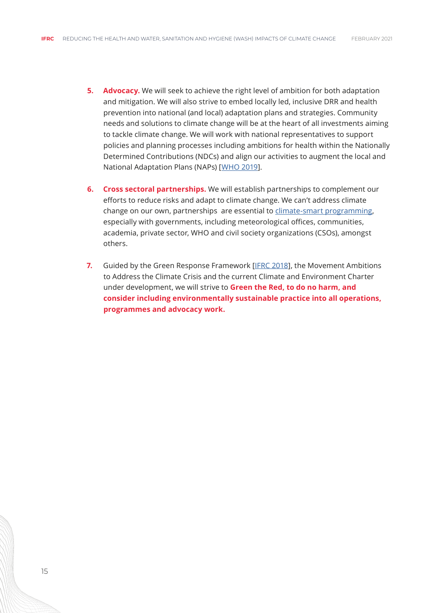- **5. Advocacy.** We will seek to achieve the right level of ambition for both adaptation and mitigation. We will also strive to embed locally led, inclusive DRR and health prevention into national (and local) adaptation plans and strategies. Community needs and solutions to climate change will be at the heart of all investments aiming to tackle climate change. We will work with national representatives to support policies and planning processes including ambitions for health within the Nationally Determined Contributions (NDCs) and align our activities to augment the local and National Adaptation Plans (NAPs) [[WHO 2019\]](https://apps.who.int/iris/bitstream/handle/10665/329972/WHO-CED-PHE-EPE-19.11-eng.pdf?ua=1).
- **6. Cross sectoral partnerships.** We will establish partnerships to complement our efforts to reduce risks and adapt to climate change. We can't address climate change on our own, partnerships are essential to [climate-smart programming,](https://www.climatecentre.org/downloads/files/What%20is%20climate-smart%20programming%20-%20MAR2020.pdf) especially with governments, including meteorological offices, communities, academia, private sector, WHO and civil society organizations (CSOs), amongst others.
- **7.** Guided by the Green Response Framework [[IFRC 2018](https://media.ifrc.org/ifrc/wp-content/uploads/sites/5/2018/08/Green-Response-Snapshot-March-2018.pdf)], the Movement Ambitions to Address the Climate Crisis and the current Climate and Environment Charter under development, we will strive to **Green the Red, to do no harm, and consider including environmentally sustainable practice into all operations, programmes and advocacy work.**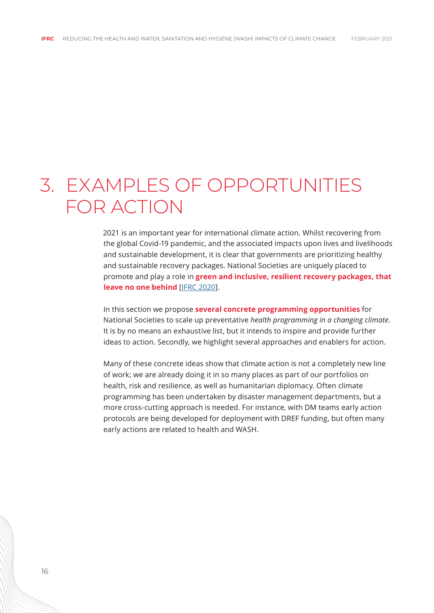### <span id="page-15-0"></span>3. EXAMPLES OF OPPORTUNITIES FOR ACTION

2021 is an important year for international climate action. Whilst recovering from the global Covid-19 pandemic, and the associated impacts upon lives and livelihoods and sustainable development, it is clear that governments are prioritizing healthy and sustainable recovery packages. National Societies are uniquely placed to promote and play a role in **green and inclusive, resilient recovery packages, that leave no one behind** [\[IFRC 2020](https://future-rcrc.com/2020/07/03/a-humanitarian-recipe-for-a-green-resilient-and-inclusive-recovery-from-covid-19/)].

In this section we propose **several concrete programming opportunities** for National Societies to scale up preventative *health programming in a changing climate*. It is by no means an exhaustive list, but it intends to inspire and provide further ideas to action. Secondly, we highlight several approaches and enablers for action.

Many of these concrete ideas show that climate action is not a completely new line of work; we are already doing it in so many places as part of our portfolios on health, risk and resilience, as well as humanitarian diplomacy. Often climate programming has been undertaken by disaster management departments, but a more cross-cutting approach is needed. For instance, with DM teams early action protocols are being developed for deployment with DREF funding, but often many early actions are related to health and WASH.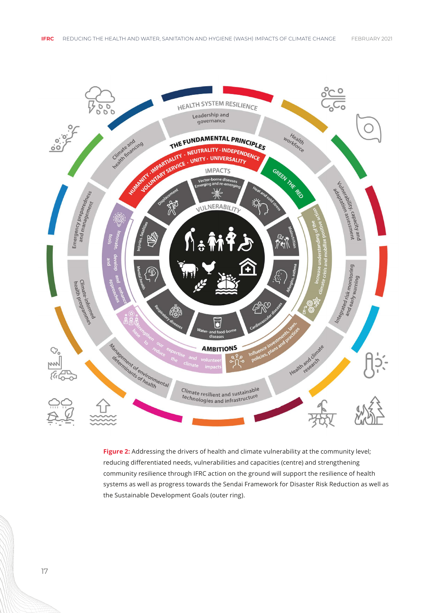

Figure 2: Addressing the drivers of health and climate vulnerability at the community level; reducing differentiated needs, vulnerabilities and capacities (centre) and strengthening community resilience through IFRC action on the ground will support the resilience of health systems as well as progress towards the Sendai Framework for Disaster Risk Reduction as well as the Sustainable Development Goals (outer ring).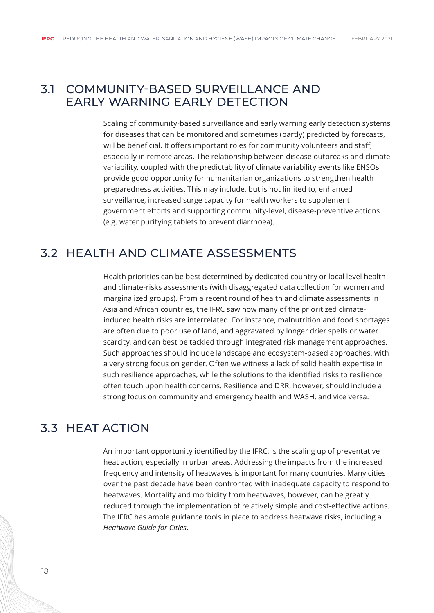#### <span id="page-17-0"></span>3.1 COMMUNITY-BASED SURVEILLANCE AND EARLY WARNING EARLY DETECTION

Scaling of community-based surveillance and early warning early detection systems for diseases that can be monitored and sometimes (partly) predicted by forecasts, will be beneficial. It offers important roles for community volunteers and staff, especially in remote areas. The relationship between disease outbreaks and climate variability, coupled with the predictability of climate variability events like ENSOs provide good opportunity for humanitarian organizations to strengthen health preparedness activities. This may include, but is not limited to, enhanced surveillance, increased surge capacity for health workers to supplement government efforts and supporting community-level, disease-preventive actions (e.g. water purifying tablets to prevent diarrhoea).

#### 3.2 HEALTH AND CLIMATE ASSESSMENTS

Health priorities can be best determined by dedicated country or local level health and climate-risks assessments (with disaggregated data collection for women and marginalized groups). From a recent round of health and climate assessments in Asia and African countries, the IFRC saw how many of the prioritized climateinduced health risks are interrelated. For instance, malnutrition and food shortages are often due to poor use of land, and aggravated by longer drier spells or water scarcity, and can best be tackled through integrated risk management approaches. Such approaches should include landscape and ecosystem-based approaches, with a very strong focus on gender. Often we witness a lack of solid health expertise in such resilience approaches, while the solutions to the identified risks to resilience often touch upon health concerns. Resilience and DRR, however, should include a strong focus on community and emergency health and WASH, and vice versa.

#### 3.3 HEAT ACTION

An important opportunity identified by the IFRC, is the scaling up of preventative heat action, especially in urban areas. Addressing the impacts from the increased frequency and intensity of heatwaves is important for many countries. Many cities over the past decade have been confronted with inadequate capacity to respond to heatwaves. Mortality and morbidity from heatwaves, however, can be greatly reduced through the implementation of relatively simple and cost-effective actions. The IFRC has ample guidance tools in place to address heatwave risks, including a *Heatwave Guide for Cities*.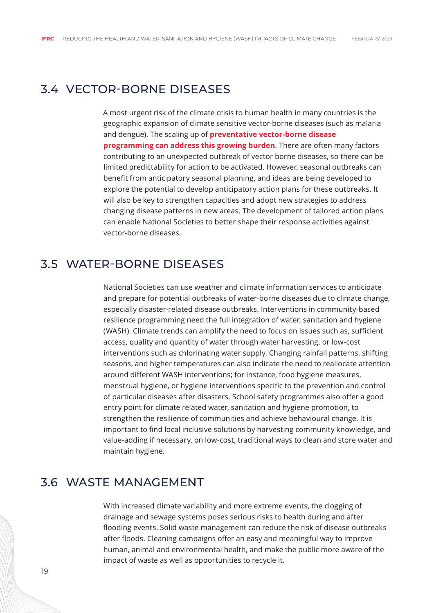#### <span id="page-18-0"></span>3.4 VECTOR-BORNE DISEASES

A most urgent risk of the climate crisis to human health in many countries is the geographic expansion of climate sensitive vector-borne diseases (such as malaria and dengue). The scaling up of **preventative vector-borne disease programming can address this growing burden**. There are often many factors contributing to an unexpected outbreak of vector borne diseases, so there can be limited predictability for action to be activated. However, seasonal outbreaks can benefit from anticipatory seasonal planning, and ideas are being developed to explore the potential to develop anticipatory action plans for these outbreaks. It will also be key to strengthen capacities and adopt new strategies to address changing disease patterns in new areas. The development of tailored action plans can enable National Societies to better shape their response activities against vector-borne diseases.

#### 3.5 WATER-BORNE DISEASES

National Societies can use weather and climate information services to anticipate and prepare for potential outbreaks of water-borne diseases due to climate change, especially disaster-related disease outbreaks. Interventions in community-based resilience programming need the full integration of water, sanitation and hygiene (WASH). Climate trends can amplify the need to focus on issues such as, sufficient access, quality and quantity of water through water harvesting, or low-cost interventions such as chlorinating water supply. Changing rainfall patterns, shifting seasons, and higher temperatures can also indicate the need to reallocate attention around different WASH interventions; for instance, food hygiene measures, menstrual hygiene, or hygiene interventions specific to the prevention and control of particular diseases after disasters. School safety programmes also offer a good entry point for climate related water, sanitation and hygiene promotion, to strengthen the resilience of communities and achieve behavioural change. It is important to find local inclusive solutions by harvesting community knowledge, and value-adding if necessary, on low-cost, traditional ways to clean and store water and maintain hygiene.

#### 3.6 WASTE MANAGEMENT

With increased climate variability and more extreme events, the clogging of drainage and sewage systems poses serious risks to health during and after flooding events. Solid waste management can reduce the risk of disease outbreaks after floods. Cleaning campaigns offer an easy and meaningful way to improve human, animal and environmental health, and make the public more aware of the impact of waste as well as opportunities to recycle it.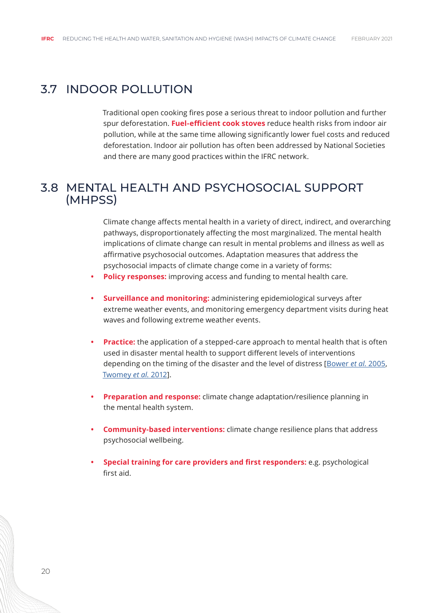#### <span id="page-19-0"></span>3.7 INDOOR POLLUTION

Traditional open cooking fires pose a serious threat to indoor pollution and further spur deforestation. **Fuel-efficient cook stoves** reduce health risks from indoor air pollution, while at the same time allowing significantly lower fuel costs and reduced deforestation. Indoor air pollution has often been addressed by National Societies and there are many good practices within the IFRC network.

#### 3.8 MENTAL HEALTH AND PSYCHOSOCIAL SUPPORT (MHPSS)

Climate change affects mental health in a variety of direct, indirect, and overarching pathways, disproportionately affecting the most marginalized. The mental health implications of climate change can result in mental problems and illness as well as affirmative psychosocial outcomes. Adaptation measures that address the psychosocial impacts of climate change come in a variety of forms:

- **• Policy responses:** improving access and funding to mental health care.
- **• Surveillance and monitoring:** administering epidemiological surveys after extreme weather events, and monitoring emergency department visits during heat waves and following extreme weather events.
- **• Practice:** the application of a stepped-care approach to mental health that is often used in disaster mental health to support different levels of interventions depending on the timing of the disaster and the level of distress [\[Bower](https://www.ncbi.nlm.nih.gov/pmc/articles/PMC5984805/#CR107) *et al.* 2005, [Twomey](https://www.ncbi.nlm.nih.gov/pmc/articles/PMC5984805/#CR108) *et al.* 2012].
- **• Preparation and response:** climate change adaptation/resilience planning in the mental health system.
- **• Community-based interventions:** climate change resilience plans that address psychosocial wellbeing.
- **• Special training for care providers and first responders:** e.g. psychological first aid.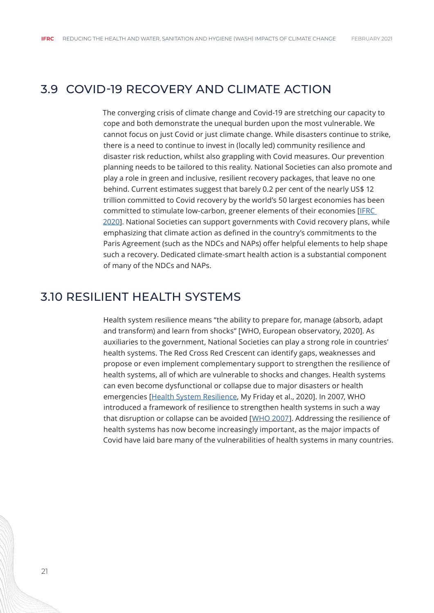#### <span id="page-20-0"></span>3.9 COVID-19 RECOVERY AND CLIMATE ACTION

The converging crisis of climate change and Covid-19 are stretching our capacity to cope and both demonstrate the unequal burden upon the most vulnerable. We cannot focus on just Covid or just climate change. While disasters continue to strike, there is a need to continue to invest in (locally led) community resilience and disaster risk reduction, whilst also grappling with Covid measures. Our prevention planning needs to be tailored to this reality. National Societies can also promote and play a role in green and inclusive, resilient recovery packages, that leave no one behind. Current estimates suggest that barely 0.2 per cent of the nearly US\$ 12 trillion committed to Covid recovery by the world's 50 largest economies has been committed to stimulate low-carbon, greener elements of their economies [[IFRC](https://future-rcrc.com/2020/07/03/a-humanitarian-recipe-for-a-green-resilient-and-inclusive-recovery-from-covid-19/)  [2020](https://future-rcrc.com/2020/07/03/a-humanitarian-recipe-for-a-green-resilient-and-inclusive-recovery-from-covid-19/)]. National Societies can support governments with Covid recovery plans, while emphasizing that climate action as defined in the country's commitments to the Paris Agreement (such as the NDCs and NAPs) offer helpful elements to help shape such a recovery. Dedicated climate-smart health action is a substantial component of many of the NDCs and NAPs.

#### 3.10 RESILIENT HEALTH SYSTEMS

Health system resilience means "the ability to prepare for, manage (absorb, adapt and transform) and learn from shocks" [WHO, European observatory, 2020]. As auxiliaries to the government, National Societies can play a strong role in countries' health systems. The Red Cross Red Crescent can identify gaps, weaknesses and propose or even implement complementary support to strengthen the resilience of health systems, all of which are vulnerable to shocks and changes. Health systems can even become dysfunctional or collapse due to major disasters or health emergencies [[Health System Resilience](https://www.ncbi.nlm.nih.gov/pmc/articles/PMC6943300/), My Friday et al., 2020]. In 2007, WHO introduced a framework of resilience to strengthen health systems in such a way that disruption or collapse can be avoided [[WHO 2007\]](https://www.who.int/healthsystems/strategy/everybodys_business.pdf). Addressing the resilience of health systems has now become increasingly important, as the major impacts of Covid have laid bare many of the vulnerabilities of health systems in many countries.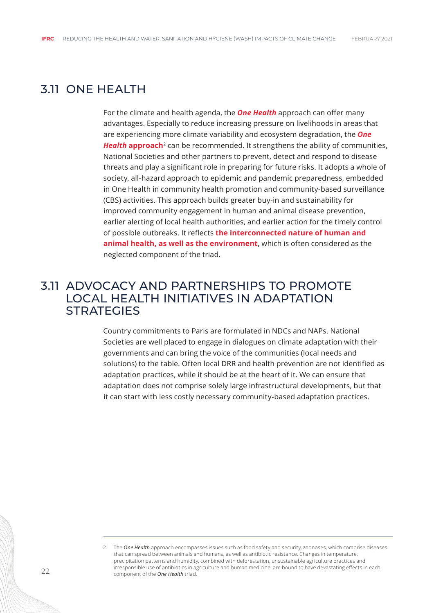#### <span id="page-21-0"></span>3.11 ONE HEALTH

For the climate and health agenda, the *One Health* approach can offer many advantages. Especially to reduce increasing pressure on livelihoods in areas that are experiencing more climate variability and ecosystem degradation, the *One Health approach*<sup>2</sup> can be recommended. It strengthens the ability of communities, National Societies and other partners to prevent, detect and respond to disease threats and play a significant role in preparing for future risks. It adopts a whole of society, all-hazard approach to epidemic and pandemic preparedness, embedded in One Health in community health promotion and community-based surveillance (CBS) activities. This approach builds greater buy-in and sustainability for improved community engagement in human and animal disease prevention, earlier alerting of local health authorities, and earlier action for the timely control of possible outbreaks. It reflects **the interconnected nature of human and animal health, as well as the environment**, which is often considered as the neglected component of the triad.

#### 3.11 ADVOCACY AND PARTNERSHIPS TO PROMOTE LOCAL HEALTH INITIATIVES IN ADAPTATION **STRATEGIES**

Country commitments to Paris are formulated in NDCs and NAPs. National Societies are well placed to engage in dialogues on climate adaptation with their governments and can bring the voice of the communities (local needs and solutions) to the table. Often local DRR and health prevention are not identified as adaptation practices, while it should be at the heart of it. We can ensure that adaptation does not comprise solely large infrastructural developments, but that it can start with less costly necessary community-based adaptation practices.

<sup>2</sup> The *One Health* approach encompasses issues such as food safety and security, zoonoses, which comprise diseases that can spread between animals and humans, as well as antibiotic resistance. Changes in temperature, precipitation patterns and humidity, combined with deforestation, unsustainable agriculture practices and irresponsible use of antibiotics in agriculture and human medicine, are bound to have devastating effects in each component of the *One Health* triad.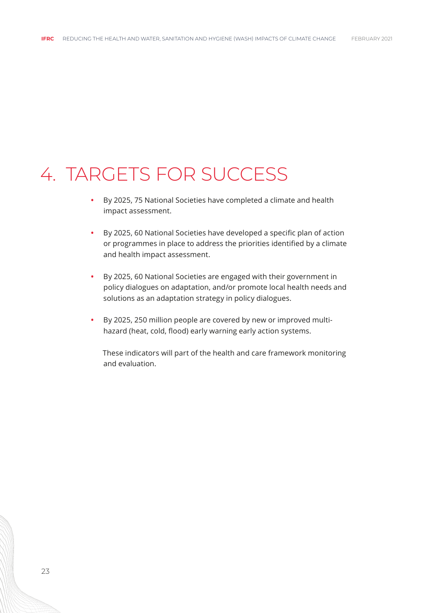### <span id="page-22-0"></span>4. TARGETS FOR SUCCESS

- **•** By 2025, 75 National Societies have completed a climate and health impact assessment.
- **•** By 2025, 60 National Societies have developed a specific plan of action or programmes in place to address the priorities identified by a climate and health impact assessment.
- **•** By 2025, 60 National Societies are engaged with their government in policy dialogues on adaptation, and/or promote local health needs and solutions as an adaptation strategy in policy dialogues.
- **•** By 2025, 250 million people are covered by new or improved multihazard (heat, cold, flood) early warning early action systems.

These indicators will part of the health and care framework monitoring and evaluation.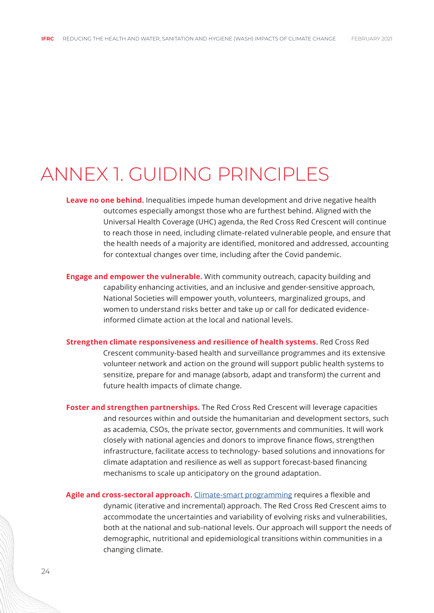### <span id="page-23-0"></span>ANNEX 1. GUIDING PRINCIPLES

- **Leave no one behind.** Inequalities impede human development and drive negative health outcomes especially amongst those who are furthest behind. Aligned with the Universal Health Coverage (UHC) agenda, the Red Cross Red Crescent will continue to reach those in need, including climate-related vulnerable people, and ensure that the health needs of a majority are identified, monitored and addressed, accounting for contextual changes over time, including after the Covid pandemic.
- **Engage and empower the vulnerable.** With community outreach, capacity building and capability enhancing activities, and an inclusive and gender-sensitive approach, National Societies will empower youth, volunteers, marginalized groups, and women to understand risks better and take up or call for dedicated evidenceinformed climate action at the local and national levels.
- **Strengthen climate responsiveness and resilience of health systems.** Red Cross Red Crescent community-based health and surveillance programmes and its extensive volunteer network and action on the ground will support public health systems to sensitize, prepare for and manage (absorb, adapt and transform) the current and future health impacts of climate change.
- **Foster and strengthen partnerships.** The Red Cross Red Crescent will leverage capacities and resources within and outside the humanitarian and development sectors, such as academia, CSOs, the private sector, governments and communities. It will work closely with national agencies and donors to improve finance flows, strengthen infrastructure, facilitate access to technology- based solutions and innovations for climate adaptation and resilience as well as support forecast-based financing mechanisms to scale up anticipatory on the ground adaptation.

**Agile and cross-sectoral approach.** [Climate-smart programming](https://www.climatecentre.org/downloads/files/What%20is%20climate-smart%20programming%20-%20MAR2020.pdf) requires a flexible and dynamic (iterative and incremental) approach. The Red Cross Red Crescent aims to accommodate the uncertainties and variability of evolving risks and vulnerabilities, both at the national and sub-national levels. Our approach will support the needs of demographic, nutritional and epidemiological transitions within communities in a changing climate.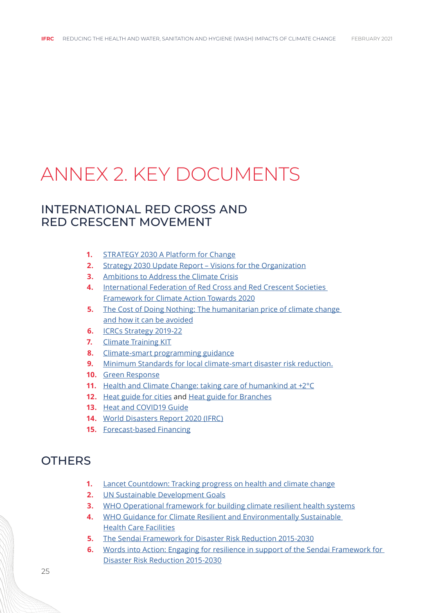# <span id="page-24-0"></span>ANNEX 2. KEY DOCUMENTS

#### INTERNATIONAL RED CROSS AND RED CRESCENT MOVEMENT

- **1.** [STRATEGY 2030 A Platform for Change](https://future-rcrc.com/wp-content/uploads/2020/01/S2030-EN.pdf)
- **2.** [Strategy 2030 Update Report Visions for the Organization](https://future-rcrc.com/wp-content/uploads/2018/11/EN-S2030-update-november-2018-003.pdf)
- **3.** [Ambitions to Address the Climate Crisis](https://media.ifrc.org/ifrc/wp-content/uploads/sites/5/2020/02/Movement-Climate-Ambitions-2020-final.pdf)
- **4.** [International Federation of Red Cross and Red Crescent Societies](http://www.climatecentre.org/downloads/files/CLIMATE%20FRAMEWORK%20FULL.pdf)  [Framework for Climate Action Towards 2020](http://www.climatecentre.org/downloads/files/CLIMATE%20FRAMEWORK%20FULL.pdf)
- **5.** The Cost of Doing Nothing: The humanitarian price of climate change [and how it can be avoided](https://media.ifrc.org/ifrc/wp-content/uploads/sites/5/2019/09/2019-IFRC-CODN-EN.pdf)
- **6.** [ICRCs Strategy 2019-22](https://www.icrc.org/en/publication/4354-icrc-strategy-2019-2022)
- **7.** [Climate Training KIT](https://www.climatecentre.org/training)
- **8.** [Climate-smart programming guidance](https://www.climatecentre.org/downloads/files/What%20is%20climate-smart%20programming%20-%20MAR2020.pdf)
- **9.** [Minimum Standards for local climate-smart disaster risk reduction.](https://www.climatecentre.org/resources-games/minimum-standards)
- **10.** [Green Response](https://media.ifrc.org/ifrc/wp-content/uploads/sites/5/2018/08/Green-Response-Snapshot-March-2018.pdf)
- **11.** [Health and Climate Change: taking care of humankind at +2°C](https://worldconference.croix-rouge.fr/taking-care-of-humankind-at-2/?lang=en)
- **12.** [Heat guide for cities](https://www.climatecentre.org/downloads/files/IFRCGeneva/RCCC%20Heatwave%20Guide%202019%20A4%20RR%20ONLINE%20copy.pdf) and [Heat guide for Branches](https://climatecentre.org/downloads/files/RCCC%20Heatwave%20Guide%202019%20NS.pdf)
- **13.** [Heat and COVID19 Guide](http://climatecentre.org/downloads/files/HWG%20appendix%20Extreme%20Heat%20during%20the%20COVID-19%20pandemic.pdf)
- **14.** [World Disasters Report 2020 \(IFRC\)](https://media.ifrc.org/ifrc/world-disaster-report-2020/)
- **15.** [Forecast-based Financing](https://www.forecast-based-financing.org/)

#### **OTHERS**

- **1.** [Lancet Countdown: Tracking progress on health and climate change](https://www.lancetcountdown.org/2020-report/)
- **2.** [UN Sustainable Development Goals](https://sdgs.un.org/goals)
- **3.** [WHO Operational framework for building climate resilient health systems](https://apps.who.int/iris/bitstream/handle/10665/189951/9789241565073_eng.pdf?sequence=1)
- **4.** [WHO Guidance for Climate Resilient and Environmentally Sustainable](https://www.who.int/publications/i/item/9789240012226)  [Health Care Facilities](https://www.who.int/publications/i/item/9789240012226)
- **5.** [The Sendai Framework for Disaster Risk Reduction 2015-2030](https://www.preventionweb.net/files/43291_sendaiframeworkfordrren.pdf)
- **6.** [Words into Action: Engaging for resilience in support of the Sendai Framework for](https://www.undrr.org/publication/words-action-guidelines-national-disaster-risk-assessment)  [Disaster Risk Reduction 2015-2030](https://www.undrr.org/publication/words-action-guidelines-national-disaster-risk-assessment)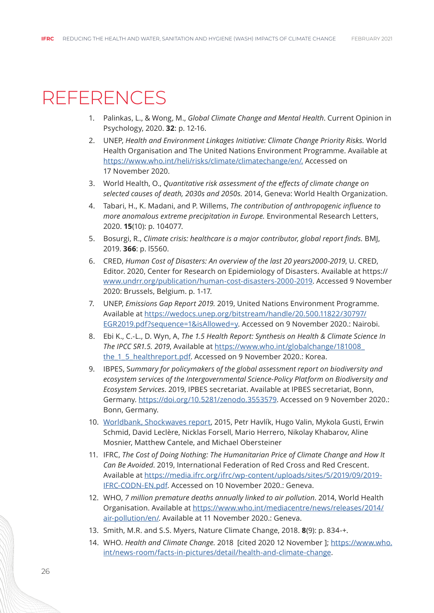### <span id="page-25-0"></span>REFERENCES

- 1. Palinkas, L., & Wong, M., *Global Climate Change and Mental Health*. Current Opinion in Psychology, 2020. **32**: p. 12-16.
- 2. UNEP, *Health and Environment Linkages Initiative: Climate Change Priority Risks.* World Health Organisation and The United Nations Environment Programme. Available at <https://www.who.int/heli/risks/climate/climatechange/en/.>Accessed on 17 November 2020.
- 3. World Health, O., *Quantitative risk assessment of the effects of climate change on selected causes of death, 2030s and 2050s.* 2014, Geneva: World Health Organization.
- 4. Tabari, H., K. Madani, and P. Willems, *The contribution of anthropogenic influence to more anomalous extreme precipitation in Europe.* Environmental Research Letters, 2020. **15**(10): p. 104077.
- 5. Bosurgi, R., *Climate crisis: healthcare is a major contributor, global report finds.* BMJ, 2019. **366**: p. l5560.
- 6. CRED, *Human Cost of Disasters: An overview of the last 20 years2000-2019*, U. CRED, Editor. 2020, Center for Research on Epidemiology of Disasters. Available at https:// [www.undrr.org/publication/human-cost-disasters-2000-2019.](www.undrr.org/publication/human-cost-disasters-2000-2019) Accessed 9 November 2020: Brussels, Belgium. p. 1-17.
- 7. UNEP, *Emissions Gap Report 2019.* 2019, United Nations Environment Programme. Available at [https://wedocs.unep.org/bitstream/handle/20.500.11822/30797/](https://wedocs.unep.org/bitstream/handle/20.500.11822/30797/EGR2019.pdf?sequence=1&isAllowed=y) [EGR2019.pdf?sequence=1&isAllowed=y.](https://wedocs.unep.org/bitstream/handle/20.500.11822/30797/EGR2019.pdf?sequence=1&isAllowed=y) Accessed on 9 November 2020.: Nairobi.
- 8. Ebi K., C.-L., D. Wyn, A, *The 1.5 Health Report: Synthesis on Health & Climate Science In The IPCC SR1.5. 2019*, Available at [https://www.who.int/globalchange/181008\\_](https://www.who.int/globalchange/181008_the_1_5_healthreport.pdf) the 1\_5\_healthreport.pdf. Accessed on 9 November 2020.: Korea.
- 9. IBPES, S*ummary for policymakers of the global assessment report on biodiversity and ecosystem services of the Intergovernmental Science-Policy Platform on Biodiversity and Ecosystem Services*. 2019, IPBES secretariat. Available at IPBES secretariat, Bonn, Germany. [https://doi.org/10.5281/zenodo.3553579.](https://doi.org/10.5281/zenodo.3553579) Accessed on 9 November 2020.: Bonn, Germany.
- 10. [Worldbank, Shockwaves report](https://www.worldbank.org/en/topic/climatechange/brief/shock-waves-managing-the-impacts-of-climate-change-on-poverty-background-papers), 2015, Petr Havlík, Hugo Valin, Mykola Gusti, Erwin Schmid, David Leclère, Nicklas Forsell, Mario Herrero, Nikolay Khabarov, Aline Mosnier, Matthew Cantele, and Michael Obersteiner
- 11. IFRC, *The Cost of Doing Nothing: The Humanitarian Price of Climate Change and How It Can Be Avoided*. 2019, International Federation of Red Cross and Red Crescent. Available at [https://media.ifrc.org/ifrc/wp-content/uploads/sites/5/2019/09/2019-](https://media.ifrc.org/ifrc/wp-content/uploads/sites/5/2019/09/2019-IFRC-CODN-EN.pdf) [IFRC-CODN-EN.pdf.](https://media.ifrc.org/ifrc/wp-content/uploads/sites/5/2019/09/2019-IFRC-CODN-EN.pdf) Accessed on 10 November 2020.: Geneva.
- 12. WHO, *7 million premature deaths annually linked to air pollution*. 2014, World Health Organisation. Available at [https://www.who.int/mediacentre/news/releases/2014/](https://www.who.int/mediacentre/news/releases/2014/air-pollution/en/) [air-pollution/en/.](https://www.who.int/mediacentre/news/releases/2014/air-pollution/en/) Available at 11 November 2020.: Geneva.
- 13. Smith, M.R. and S.S. Myers, Nature Climate Change, 2018. **8**(9): p. 834-+.
- 14. WHO. *Health and Climate Change.* 2018 [cited 2020 12 November ]; [https://www.who.](https://www.who.int/news-room/facts-in-pictures/detail/health-and-climate-change) [int/news-room/facts-in-pictures/detail/health-and-climate-change](https://www.who.int/news-room/facts-in-pictures/detail/health-and-climate-change).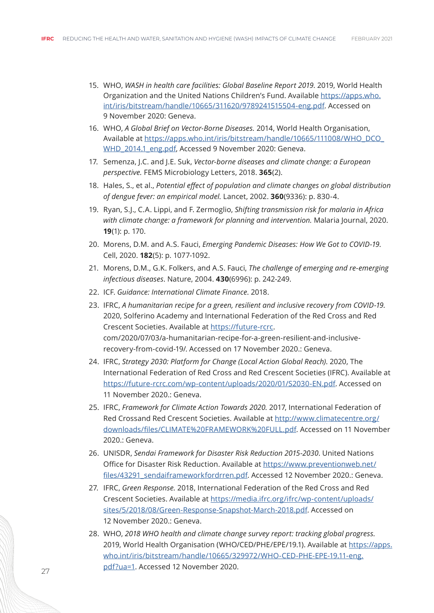- 15. WHO, *WASH in health care facilities: Global Baseline Report 2019*. 2019, World Health Organization and the United Nations Children's Fund. Available [https://apps.who.](https://apps.who.int/iris/bitstream/handle/10665/311620/9789241515504-eng.pdf) [int/iris/bitstream/handle/10665/311620/9789241515504-eng.pdf](https://apps.who.int/iris/bitstream/handle/10665/311620/9789241515504-eng.pdf). Accessed on 9 November 2020: Geneva.
- 16. WHO, *A Global Brief on Vector-Borne Diseases.* 2014, World Health Organisation, Available at [https://apps.who.int/iris/bitstream/handle/10665/111008/WHO\\_DCO\\_](https://apps.who.int/iris/bitstream/handle/10665/111008/WHO_DCO_WHD_2014.1_eng.pdf) [WHD\\_2014.1\\_eng.pdf](https://apps.who.int/iris/bitstream/handle/10665/111008/WHO_DCO_WHD_2014.1_eng.pdf), Accessed 9 November 2020: Geneva.
- 17. Semenza, J.C. and J.E. Suk, *Vector-borne diseases and climate change: a European perspective.* FEMS Microbiology Letters, 2018. **365**(2).
- 18. Hales, S., et al., *Potential effect of population and climate changes on global distribution of dengue fever: an empirical model.* Lancet, 2002. **360**(9336): p. 830-4.
- 19. Ryan, S.J., C.A. Lippi, and F. Zermoglio, *Shifting transmission risk for malaria in Africa with climate change: a framework for planning and intervention.* Malaria Journal, 2020. **19**(1): p. 170.
- 20. Morens, D.M. and A.S. Fauci, *Emerging Pandemic Diseases: How We Got to COVID-19*. Cell, 2020. **182**(5): p. 1077-1092.
- 21. Morens, D.M., G.K. Folkers, and A.S. Fauci, *The challenge of emerging and re-emerging infectious diseases*. Nature, 2004. **430**(6996): p. 242-249.
- 22. ICF. *Guidance: International Climate Finance*. 2018.
- 23. IFRC, *A humanitarian recipe for a green, resilient and inclusive recovery from COVID-19.* 2020, Solferino Academy and International Federation of the Red Cross and Red Crescent Societies. Available at [https://future-rcrc.](https://future-rcrc.com/2020/07/03/a-humanitarian-recipe-for-a-green-resilient-and-inclusive-recovery-from-covid-19/) com/2020/07/03/a-humanitarian-recipe-for-a-green-resilient-and-inclusiverecovery-from-covid-19/. Accessed on 17 November 2020.: Geneva.
- 24. IFRC, *Strategy 2030: Platform for Change (Local Action Global Reach)*. 2020, The International Federation of Red Cross and Red Crescent Societies (IFRC). Available at [https://future-rcrc.com/wp-content/uploads/2020/01/S2030-EN.pdf.](https://future-rcrc.com/wp-content/uploads/2020/01/S2030-EN.pdf) Accessed on 11 November 2020.: Geneva.
- 25. IFRC, *Framework for Climate Action Towards 2020.* 2017, International Federation of Red Crossand Red Crescent Societies. Available at [http://www.climatecentre.org/](http://www.climatecentre.org/downloads/files/CLIMATE%20FRAMEWORK%20FULL.pdf) [downloads/files/CLIMATE%20FRAMEWORK%20FULL.pdf](http://www.climatecentre.org/downloads/files/CLIMATE%20FRAMEWORK%20FULL.pdf). Accessed on 11 November 2020.: Geneva.
- 26. UNISDR, *Sendai Framework for Disaster Risk Reduction 2015-2030*. United Nations Office for Disaster Risk Reduction. Available at [https://www.preventionweb.net/](https://www.preventionweb.net/files/43291_sendaiframeworkfordrren.pdf) [files/43291\\_sendaiframeworkfordrren.pdf](https://www.preventionweb.net/files/43291_sendaiframeworkfordrren.pdf). Accessed 12 November 2020.: Geneva.
- 27. IFRC, *Green Response.* 2018, International Federation of the Red Cross and Red Crescent Societies. Available at [https://media.ifrc.org/ifrc/wp-content/uploads/](https://media.ifrc.org/ifrc/wp-content/uploads/sites/5/2018/08/Green-Response-Snapshot-March-2018.pdf) [sites/5/2018/08/Green-Response-Snapshot-March-2018.pdf.](https://media.ifrc.org/ifrc/wp-content/uploads/sites/5/2018/08/Green-Response-Snapshot-March-2018.pdf) Accessed on 12 November 2020.: Geneva.
- 28. WHO, *2018 WHO health and climate change survey report: tracking global progress.* 2019, World Health Organisation (WHO/CED/PHE/EPE/19.1). Available at [https://apps.](https://apps.who.int/iris/bitstream/handle/10665/329972/WHO-CED-PHE-EPE-19.11-eng.pdf?ua=1) [who.int/iris/bitstream/handle/10665/329972/WHO-CED-PHE-EPE-19.11-eng.](https://apps.who.int/iris/bitstream/handle/10665/329972/WHO-CED-PHE-EPE-19.11-eng.pdf?ua=1) [pdf?ua=1](https://apps.who.int/iris/bitstream/handle/10665/329972/WHO-CED-PHE-EPE-19.11-eng.pdf?ua=1). Accessed 12 November 2020.